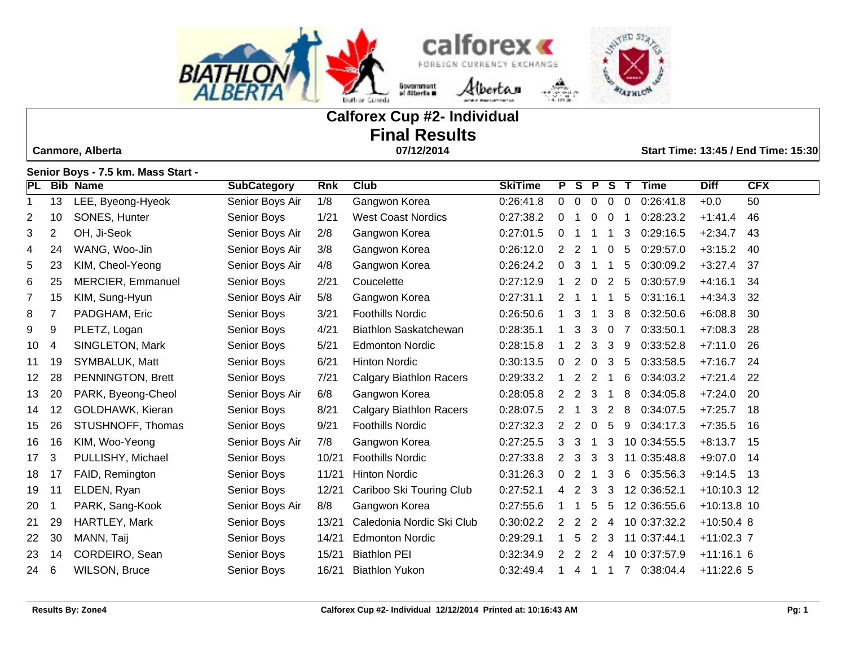



# **Calforex Cup #2- Individual Final Results**

 **Canmore, Alberta 07/12/2014 Start Time: 13:45 / End Time: 15:30**

|                | 0 y 3 x 1.0 KHI. Mass Olart |                          |                    |            |                                |                |                |                         |                |                |                             |               |            |
|----------------|-----------------------------|--------------------------|--------------------|------------|--------------------------------|----------------|----------------|-------------------------|----------------|----------------|-----------------------------|---------------|------------|
| PL             |                             | <b>Bib Name</b>          | <b>SubCategory</b> | <b>Rnk</b> | <b>Club</b>                    | <b>SkiTime</b> | P.             | $\overline{\mathbf{s}}$ | $\mathsf{P}$   | <b>S</b>       | $\mathbf{T}$<br><b>Time</b> | <b>Diff</b>   | <b>CFX</b> |
| $\mathbf{1}$   | 13                          | LEE, Byeong-Hyeok        | Senior Boys Air    | 1/8        | Gangwon Korea                  | 0:26:41.8      | $\overline{0}$ | 0                       | $\mathbf 0$    | $\overline{0}$ | 0:26:41.8<br>0              | $+0.0$        | 50         |
| 2              | 10                          | SONES, Hunter            | Senior Boys        | 1/21       | <b>West Coast Nordics</b>      | 0:27:38.2      | $\Omega$       |                         | $\Omega$       | $\Omega$       | 0:28:23.2                   | $+1:41.4$     | 46         |
| 3              | $\overline{2}$              | OH, Ji-Seok              | Senior Boys Air    | 2/8        | Gangwon Korea                  | 0:27:01.5      | $\Omega$       |                         |                |                | 0:29:16.5<br>3              | $+2:34.7$     | 43         |
| 4              | 24                          | WANG, Woo-Jin            | Senior Boys Air    | 3/8        | Gangwon Korea                  | 0:26:12.0      | $\overline{2}$ | 2                       | -1             | $\Omega$       | 5<br>0:29:57.0              | $+3:15.2$     | 40         |
| 5              | 23                          | KIM, Cheol-Yeong         | Senior Boys Air    | 4/8        | Gangwon Korea                  | 0:26:24.2      | $\Omega$       | 3                       | 1              |                | 5<br>0:30:09.2              | $+3:27.4$     | 37         |
| 6              | 25                          | <b>MERCIER, Emmanuel</b> | Senior Boys        | 2/21       | Coucelette                     | 0:27:12.9      |                | 2                       | 0              | $\overline{2}$ | 0:30:57.9<br>5              | $+4:16.1$     | 34         |
| $\overline{7}$ | 15                          | KIM, Sung-Hyun           | Senior Boys Air    | 5/8        | Gangwon Korea                  | 0:27:31.1      | 2              |                         |                |                | 0:31:16.1<br>5              | $+4:34.3$     | 32         |
| 8              | 7                           | PADGHAM, Eric            | Senior Boys        | 3/21       | <b>Foothills Nordic</b>        | 0:26:50.6      |                | 3                       | 1              | 3              | 0:32:50.6<br>8              | $+6:08.8$     | 30         |
| 9              | 9                           | PLETZ, Logan             | Senior Boys        | 4/21       | <b>Biathlon Saskatchewan</b>   | 0:28:35.1      |                | 3                       | 3              | $\mathbf 0$    | 0:33:50.1                   | $+7:08.3$     | 28         |
| 10             | $\overline{4}$              | SINGLETON, Mark          | Senior Boys        | 5/21       | <b>Edmonton Nordic</b>         | 0:28:15.8      |                | 2                       | 3              | 3              | 9<br>0:33:52.8              | $+7:11.0$     | 26         |
| 11             | 19                          | SYMBALUK, Matt           | Senior Boys        | 6/21       | <b>Hinton Nordic</b>           | 0:30:13.5      | 0              | 2                       | $\Omega$       | 3              | 0:33:58.5<br>5              | $+7:16.7$     | 24         |
| 12             | 28                          | PENNINGTON, Brett        | Senior Boys        | 7/21       | <b>Calgary Biathlon Racers</b> | 0:29:33.2      |                | 2                       | $\overline{2}$ |                | 6<br>0:34:03.2              | $+7:21.4$     | 22         |
| 13             | 20                          | PARK, Byeong-Cheol       | Senior Boys Air    | 6/8        | Gangwon Korea                  | 0:28:05.8      | 2              | 2                       | 3              | -1             | 0:34:05.8<br>8              | $+7:24.0$     | 20         |
| 14             | 12                          | GOLDHAWK, Kieran         | Senior Boys        | 8/21       | <b>Calgary Biathlon Racers</b> | 0:28:07.5      | 2              | -1                      | 3              | 2              | 8<br>0:34:07.5              | $+7:25.7$     | 18         |
| 15             | 26                          | STUSHNOFF, Thomas        | Senior Boys        | 9/21       | <b>Foothills Nordic</b>        | 0:27:32.3      | 2              | 2                       | $\Omega$       | 5              | 9<br>0:34:17.3              | $+7:35.5$     | 16         |
| 16             | 16                          | KIM, Woo-Yeong           | Senior Boys Air    | 7/8        | Gangwon Korea                  | 0:27:25.5      | 3              | 3                       | -1             | 3              | 10 0:34:55.5                | $+8:13.7$     | 15         |
| 17             | 3                           | PULLISHY, Michael        | Senior Boys        | 10/21      | <b>Foothills Nordic</b>        | 0:27:33.8      | 2              | 3                       | 3              | 3              | 11 0:35:48.8                | $+9:07.0$     | 14         |
| 18             | 17                          | FAID, Remington          | Senior Boys        | 11/21      | <b>Hinton Nordic</b>           | 0:31:26.3      | 0              | 2                       | -1             | 3              | 0:35:56.3<br>6              | $+9:14.5$     | 13         |
| 19             | 11                          | ELDEN, Ryan              | Senior Boys        | 12/21      | Cariboo Ski Touring Club       | 0:27:52.1      | 4              | 2                       | 3              | 3              | 12 0:36:52.1                | $+10:10.3$ 12 |            |
| 20             |                             | PARK, Sang-Kook          | Senior Boys Air    | 8/8        | Gangwon Korea                  | 0:27:55.6      |                |                         | 5              | 5              | 12 0:36:55.6                | +10:13.8 10   |            |
| 21             | 29                          | HARTLEY, Mark            | Senior Boys        | 13/21      | Caledonia Nordic Ski Club      | 0:30:02.2      | 2              | 2                       | 2              | 4              | 10 0:37:32.2                | $+10:50.4$ 8  |            |
| 22             | 30                          | MANN, Taij               | Senior Boys        | 14/21      | <b>Edmonton Nordic</b>         | 0:29:29.1      |                | 5                       | 2              | 3              | 11 0:37:44.1                | $+11:02.3$ 7  |            |
| 23             | 14                          | CORDEIRO, Sean           | Senior Boys        | 15/21      | <b>Biathlon PEI</b>            | 0:32:34.9      | 2              | 2                       | 2              | 4              | 10 0:37:57.9                | $+11:16.16$   |            |
| 24             | 6                           | <b>WILSON, Bruce</b>     | Senior Boys        | 16/21      | <b>Biathlon Yukon</b>          | 0:32:49.4      |                | 4                       | -1             |                | 7 0:38:04.4                 | $+11:22.6$ 5  |            |

**Senior Boys - 7.5 km. Mass Start -**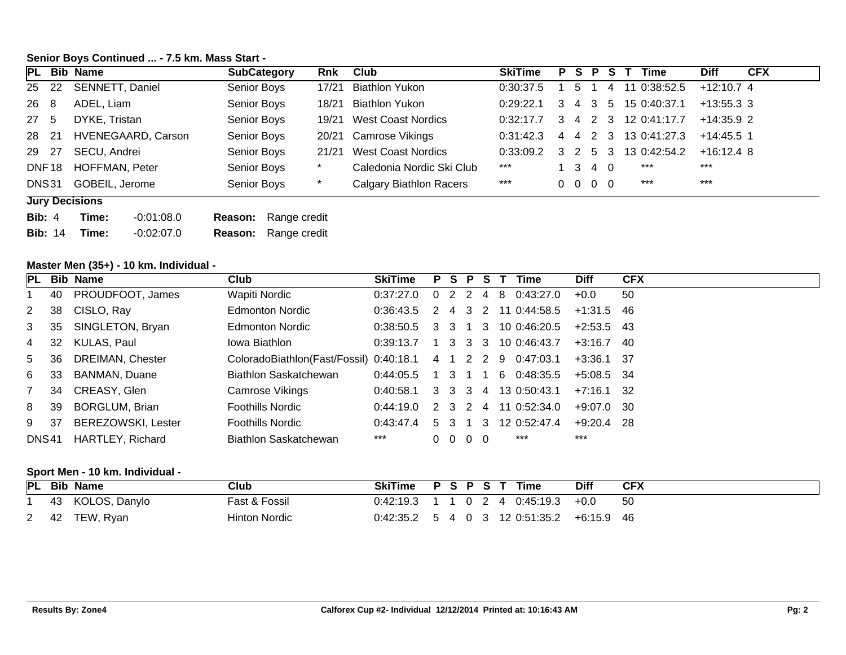## **Senior Boys Continued ... - 7.5 km. Mass Start -**

|       |                       | PL Bib Name               | <b>SubCategory</b> | Rnk     | Club                           | <b>SkiTime</b> |         |                |                          |   | <b>PSPST</b> | <b>Time</b>          | <b>Diff</b>  | <b>CFX</b> |
|-------|-----------------------|---------------------------|--------------------|---------|--------------------------------|----------------|---------|----------------|--------------------------|---|--------------|----------------------|--------------|------------|
| 25 22 |                       | SENNETT, Daniel           | Senior Boys        | 17/21   | <b>Biathlon Yukon</b>          | 0:30:37.5      |         | 5.             |                          | 4 |              | 11 0:38:52.5         | $+12:10.74$  |            |
| 26 8  |                       | ADEL, Liam                | Senior Boys        | 18/21   | Biathlon Yukon                 | 0:29:22.1      | -3      | $\overline{4}$ |                          |   |              | 3 5 15 0:40:37.1     | $+13:55.3$ 3 |            |
| 27 5  |                       | DYKE, Tristan             | Senior Boys        | 19/21   | West Coast Nordics             | 0:32:17.7      | 3       |                |                          |   |              | 4 2 3 12 0:41:17.7   | $+14.35.9$ 2 |            |
| 28 21 |                       | <b>HVENEGAARD, Carson</b> | Senior Boys        | 20/21   | Camrose Vikings                | 0:31:42.3      |         |                |                          |   |              | 4 4 2 3 13 0:41:27.3 | $+14:45.5$ 1 |            |
| 29 27 |                       | SECU, Andrei              | Senior Boys        | 21/21   | West Coast Nordics             | 0:33:09.2      | 3 2 5 3 |                |                          |   |              | 13 0:42:54.2         | $+16:12.4$ 8 |            |
|       | DNF18                 | <b>HOFFMAN, Peter</b>     | Senior Boys        |         | Caledonia Nordic Ski Club      | ***            |         |                | 3 4 0                    |   |              | ***                  | $***$        |            |
| DNS31 |                       | GOBEIL, Jerome            | Senior Boys        | $\star$ | <b>Calgary Biathlon Racers</b> | $***$          |         |                | $0\quad 0\quad 0\quad 0$ |   |              | $***$                | $***$        |            |
|       | <b>Jury Decisions</b> |                           |                    |         |                                |                |         |                |                          |   |              |                      |              |            |

| <b>Bib: 4</b>  | Time: | $-0.01:08.0$ | <b>Reason:</b> Range credit |
|----------------|-------|--------------|-----------------------------|
| <b>Bib: 14</b> | Time: | $-0.02:07.0$ | <b>Reason:</b> Range credit |

#### **Master Men (35+) - 10 km. Individual -**

|             |     | PL Bib Name               | Club                                    | <b>SkiTime</b> |    | P S P         |                | -S         |    | Time                 | <b>Diff</b>  | <b>CFX</b> |
|-------------|-----|---------------------------|-----------------------------------------|----------------|----|---------------|----------------|------------|----|----------------------|--------------|------------|
|             | 40  | PROUDFOOT, James          | Wapiti Nordic                           | 0:37:27.0      |    | $\mathcal{P}$ | $\overline{2}$ | 4          | -8 | 0:43:27.0            | $+0.0$       | 50         |
| $2^{\circ}$ | -38 | CISLO, Ray                | <b>Edmonton Nordic</b>                  | 0:36:43.5      |    | 4             | 3              | -2         |    | 11 0:44:58.5         | $+1:31.5$ 46 |            |
| $3^{\circ}$ | 35  | SINGLETON, Bryan          | Edmonton Nordic                         | 0:38:50.5      |    |               |                |            |    | 3 3 1 3 10 0:46:20.5 | $+2:53.5$ 43 |            |
| 4           | 32  | KULAS, Paul               | Jowa Biathlon                           | 0:39:13.7      |    | $1\quad 3$    |                |            |    | 3 3 10 0:46:43.7     | $+3:16.7$ 40 |            |
| 5           | -36 | <b>DREIMAN, Chester</b>   | ColoradoBiathlon(Fast/Fossil) 0:40:18.1 |                | 41 |               |                |            |    | 2 2 9 0:47:03.1      | $+3:36.1$ 37 |            |
| 6           | 33  | <b>BANMAN, Duane</b>      | Biathlon Saskatchewan                   | 0:44:05.5      |    | 1 3 1         |                |            |    | 6 0:48:35.5          | $+5:08.5$ 34 |            |
|             | 34  | CREASY, Glen              | Camrose Vikings                         | 0:40:58.1      |    | 3 3 3         |                |            |    | 4 13 0:50:43.1       | $+7:16.1$ 32 |            |
| 8           | 39  | <b>BORGLUM, Brian</b>     | <b>Foothills Nordic</b>                 | 0.44:19.0      |    | 2 3 2         |                | 4          |    | 11 0:52:34.0         | $+9:07.0$ 30 |            |
| 9           | -37 | <b>BEREZOWSKI, Lester</b> | <b>Foothills Nordic</b>                 | 0:43:47.4      | 5. | -3            |                | 3          |    | 12 0:52:47.4         | $+9:20.4$ 28 |            |
| DNS41       |     | HARTLEY, Richard          | Biathlon Saskatchewan                   | $***$          |    | $0\quad 0$    |                | $0\quad 0$ |    | ***                  | $***$        |            |

## **Sport Men - 10 km. Individual -**

| PL Bib       | Name          | Club          | <b>SkiTime</b> | PSPST |  |  | Time                              | <b>Diff</b> | <b>CFX</b> |
|--------------|---------------|---------------|----------------|-------|--|--|-----------------------------------|-------------|------------|
| 43           | KOLOS, Danylo | Fast & Fossil | 0:42:19.3      |       |  |  | l 0 2 4 0:45:19.3                 | $+0.0$      | -50        |
| $2 \quad 42$ | TEW, Ryan     | Hinton Nordic | 0:42:35.2      |       |  |  | . 5 4 0 3 12 0:51:35.2 +6:15.9 46 |             |            |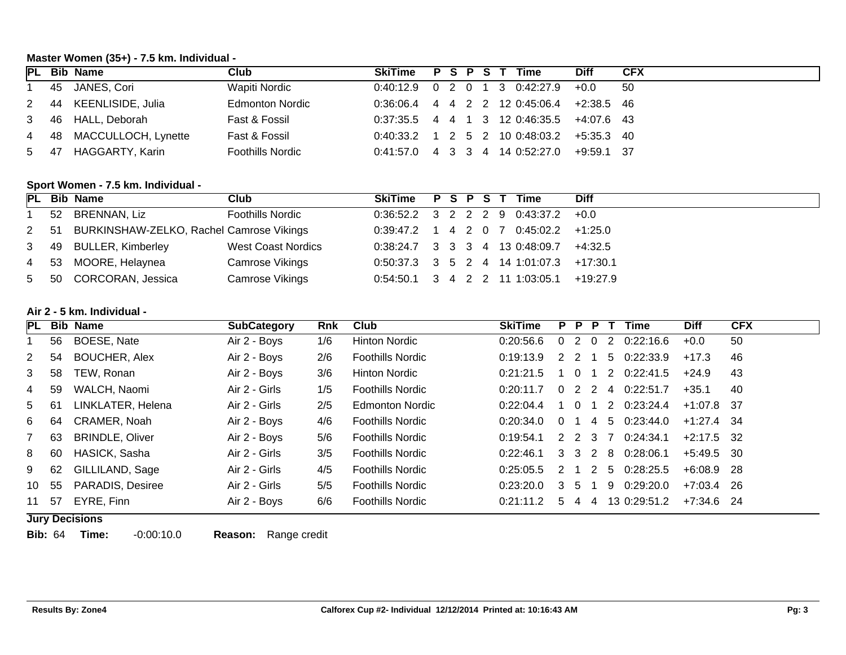## **Master Women (35+) - 7.5 km. Individual -**

|      | PL Bib Name              | Club                    | SkiTime P S P S T Time           |  |  |                                             | <b>Diff</b>  | <b>CFX</b> |
|------|--------------------------|-------------------------|----------------------------------|--|--|---------------------------------------------|--------------|------------|
|      | 1 45 JANES, Cori         | Wapiti Nordic           |                                  |  |  | $0:40:12.9$ 0 2 0 1 3 0:42:27.9             | $+0.0$       | - 50       |
|      | 2 44 KEENLISIDE, Julia   | <b>Edmonton Nordic</b>  |                                  |  |  | $0:36:06.4$ 4 4 2 2 12 0:45:06.4 +2:38.5 46 |              |            |
|      | 3 46 HALL, Deborah       | Fast & Fossil           |                                  |  |  | $0:37:35.5$ 4 4 1 3 12 0:46:35.5 +4:07.6 43 |              |            |
|      | 4 48 MACCULLOCH, Lynette | Fast & Fossil           |                                  |  |  | $0:40:33.2$ 1 2 5 2 10 0:48:03.2 +5:35.3 40 |              |            |
| 5 47 | HAGGARTY, Karin          | <b>Foothills Nordic</b> | $0:41:57.0$ 4 3 3 4 14 0:52:27.0 |  |  |                                             | $+9:59.1$ 37 |            |

## **Sport Women - 7.5 km. Individual -**

|  | PL Bib Name                                   | Club                    | SkiTime P S P S T Time |  |  |                                           | <b>Diff</b> |
|--|-----------------------------------------------|-------------------------|------------------------|--|--|-------------------------------------------|-------------|
|  | 1 52 BRENNAN, Liz                             | <b>Foothills Nordic</b> |                        |  |  | $0.36:52.2$ 3 2 2 2 9 0:43:37.2 +0.0      |             |
|  | 2 51 BURKINSHAW-ZELKO, Rachel Camrose Vikings |                         |                        |  |  | $0:39:47.2$ 1 4 2 0 7 0:45:02.2 +1:25.0   |             |
|  | 3 49 BULLER, Kimberley                        | West Coast Nordics      |                        |  |  | $0:38:24.7$ 3 3 3 4 13 0:48:09.7 +4:32.5  |             |
|  | 4 53 MOORE, Helaynea                          | <b>Camrose Vikings</b>  |                        |  |  | $0:50:37.3$ 3 5 2 4 14 1:01:07.3 +17:30.1 |             |
|  | 5 50 CORCORAN, Jessica                        | <b>Camrose Vikings</b>  |                        |  |  | $0:54:50.1$ 3 4 2 2 11 1:03:05.1 +19:27.9 |             |

#### **Air 2 - 5 km. Individual -**

|                |     | PL Bib Name            | <b>SubCategory</b> | <b>Rnk</b> | Club                    | <b>SkiTime</b> | P.            |                | P P            |                | Time         | <b>Diff</b>  | <b>CFX</b> |
|----------------|-----|------------------------|--------------------|------------|-------------------------|----------------|---------------|----------------|----------------|----------------|--------------|--------------|------------|
|                | 56  | BOESE, Nate            | Air 2 - Boys       | 1/6        | <b>Hinton Nordic</b>    | 0:20:56.6      | $\Omega$      | $\overline{2}$ | $\overline{0}$ | $\overline{2}$ | 0:22:16.6    | $+0.0$       | 50         |
| 2              | 54  | <b>BOUCHER, Alex</b>   | Air 2 - Boys       | 2/6        | <b>Foothills Nordic</b> | 0:19:13.9      | 2 2           |                |                | 5              | 0:22:33.9    | $+17.3$      | 46         |
| 3 <sup>1</sup> | 58  | TEW, Ronan             | Air 2 - Boys       | 3/6        | <b>Hinton Nordic</b>    | 0:21:21.5      |               | $\Omega$       |                | 2              | 0.22:41.5    | $+24.9$      | 43         |
| 4              | 59  | WALCH, Naomi           | Air 2 - Girls      | 1/5        | <b>Foothills Nordic</b> | 0:20:11.7      | $\Omega$      | 2 2            |                | 4              | 0:22:51.7    | $+35.1$      | 40         |
| 5 61           |     | LINKLATER, Helena      | Air 2 - Girls      | 2/5        | Edmonton Nordic         | 0:22:04.4      |               | $\Omega$       |                | 2              | 0:23:24.4    | $+1:07.8$ 37 |            |
| 6              | 64  | CRAMER, Noah           | Air 2 - Boys       | 4/6        | <b>Foothills Nordic</b> | 0:20:34.0      | $\Omega$      |                | 4              | -5             | 0:23:44.0    | $+1:27.4$ 34 |            |
|                | 63  | <b>BRINDLE, Oliver</b> | Air 2 - Boys       | 5/6        | <b>Foothills Nordic</b> | 0:19:54.1      | 2 2 3 7       |                |                |                | 0:24:34.1    | $+2:17.5$ 32 |            |
| 8              | -60 | HASICK, Sasha          | Air 2 - Girls      | 3/5        | <b>Foothills Nordic</b> | 0:22:46.1      | 3 3 2 8       |                |                |                | 0:28:06.1    | $+5.49.5$ 30 |            |
| 9              | 62  | GILLILAND, Sage        | Air 2 - Girls      | 4/5        | <b>Foothills Nordic</b> | 0:25:05.5      | $\mathcal{P}$ |                | $\overline{2}$ | -5             | 0.28:25.5    | $+6:08.9$ 28 |            |
| 10             | 55  | PARADIS, Desiree       | Air 2 - Girls      | 5/5        | <b>Foothills Nordic</b> | 0:23:20.0      | 3 5           |                |                | 9              | 0:29:20.0    | $+7:03.4$ 26 |            |
| 11             | -57 | EYRE, Finn             | Air 2 - Boys       | 6/6        | <b>Foothills Nordic</b> | 0:21:11.2      | 5             | 4              | 4              |                | 13 0:29:51.2 | $+7:34.6$ 24 |            |
|                |     |                        |                    |            |                         |                |               |                |                |                |              |              |            |

**Jury Decisions**

**Bib:** 64 **Time:** -0:00:10.0 **Reason:** Range credit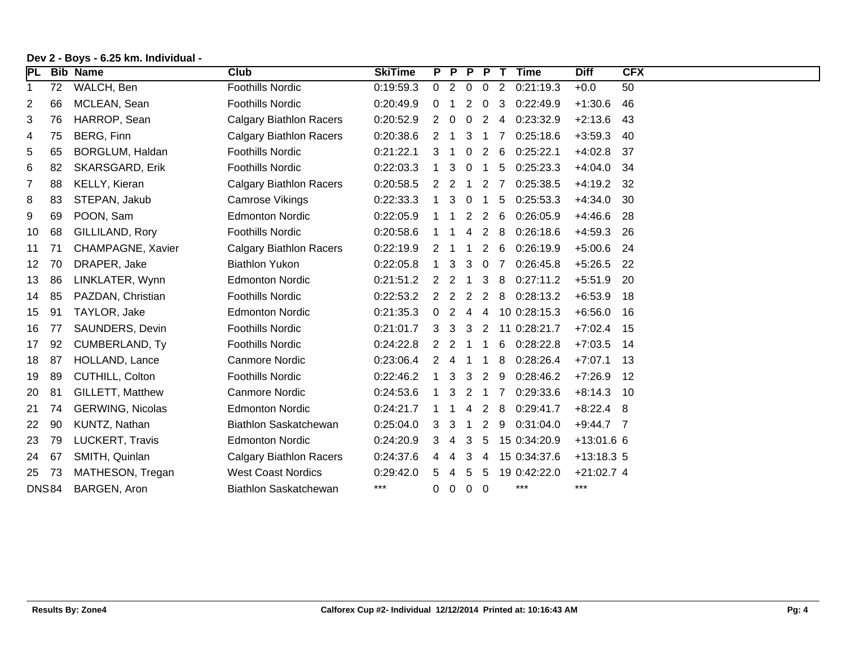| <b>PL</b> |              | <b>Bib Name</b>         | Club                           | <b>SkiTime</b> |             | P | $\overline{P}$ | PT                    |    | <b>Time</b>  | <b>Diff</b>  | <b>CFX</b> |
|-----------|--------------|-------------------------|--------------------------------|----------------|-------------|---|----------------|-----------------------|----|--------------|--------------|------------|
| 1         | 72           | WALCH, Ben              | <b>Foothills Nordic</b>        | 0:19:59.3      | $\mathbf 0$ | 2 | $\overline{0}$ | $\mathbf{0}$          | 2  | 0:21:19.3    | $+0.0$       | 50         |
| 2         | 66           | MCLEAN, Sean            | <b>Foothills Nordic</b>        | 0:20:49.9      | 0           |   | 2              | 0                     | 3  | 0:22:49.9    | $+1:30.6$    | 46         |
| 3         | 76           | HARROP, Sean            | <b>Calgary Biathlon Racers</b> | 0:20:52.9      | 2           | 0 | 0              | $\overline{2}$        | 4  | 0:23:32.9    | $+2:13.6$    | -43        |
| 4         | 75           | BERG, Finn              | <b>Calgary Biathlon Racers</b> | 0:20:38.6      | 2           |   | 3              | -1                    |    | 0:25:18.6    | $+3:59.3$    | 40         |
| 5         | 65           | BORGLUM, Haldan         | <b>Foothills Nordic</b>        | 0:21:22.1      | 3           |   |                | $\mathbf{2}^{\prime}$ | -6 | 0:25:22.1    | $+4:02.8$    | -37        |
| 6         | 82           | SKARSGARD, Erik         | <b>Foothills Nordic</b>        | 0:22:03.3      |             | 3 | 0              | 1                     | 5  | 0:25:23.3    | $+4:04.0$ 34 |            |
| 7         | 88           | KELLY, Kieran           | <b>Calgary Biathlon Racers</b> | 0:20:58.5      | 2           | 2 |                | $\overline{2}$        | 7  | 0:25:38.5    | +4:19.2      | -32        |
| 8         | 83           | STEPAN, Jakub           | <b>Camrose Vikings</b>         | 0:22:33.3      |             | 3 | $\Omega$       |                       | 5  | 0:25:53.3    | $+4:34.0$    | -30        |
| 9         | 69           | POON, Sam               | <b>Edmonton Nordic</b>         | 0:22:05.9      |             |   | 2              | 2                     | -6 | 0:26:05.9    | $+4:46.6$    | -28        |
| 10        | 68           | GILLILAND, Rory         | <b>Foothills Nordic</b>        | 0:20:58.6      |             |   |                | 2                     | -8 | 0:26:18.6    | $+4:59.3$    | -26        |
| 11        | 71           | CHAMPAGNE, Xavier       | <b>Calgary Biathlon Racers</b> | 0:22:19.9      | 2           |   |                | 2                     | 6  | 0:26:19.9    | $+5:00.6$    | -24        |
| 12        | 70           | DRAPER, Jake            | <b>Biathlon Yukon</b>          | 0:22:05.8      |             | 3 | 3              | 0                     | 7  | 0:26:45.8    | $+5:26.5$    | 22         |
| 13        | 86           | LINKLATER, Wynn         | <b>Edmonton Nordic</b>         | 0:21:51.2      | 2           | 2 |                | 3                     | 8  | 0:27:11.2    | $+5:51.9$    | -20        |
| 14        | 85           | PAZDAN, Christian       | <b>Foothills Nordic</b>        | 0:22:53.2      | 2           | 2 | 2              | $\overline{2}$        | 8  | 0:28:13.2    | $+6:53.9$    | 18         |
| 15        | 91           | TAYLOR, Jake            | <b>Edmonton Nordic</b>         | 0:21:35.3      | $\Omega$    | 2 | 4              | 4                     |    | 10 0:28:15.3 | $+6:56.0$ 16 |            |
| 16        | 77           | <b>SAUNDERS, Devin</b>  | <b>Foothills Nordic</b>        | 0:21:01.7      | 3           | 3 | 3              | $\mathbf{2}$          |    | 11 0:28:21.7 | $+7:02.4$ 15 |            |
| 17        | 92           | <b>CUMBERLAND, Ty</b>   | <b>Foothills Nordic</b>        | 0:24:22.8      | 2           | 2 |                |                       | 6  | 0:28:22.8    | $+7:03.5$    | -14        |
| 18        | 87           | HOLLAND, Lance          | <b>Canmore Nordic</b>          | 0:23:06.4      |             |   |                |                       | 8  | 0:28:26.4    | $+7:07.1$    | - 13       |
| 19        | 89           | <b>CUTHILL, Colton</b>  | <b>Foothills Nordic</b>        | 0:22:46.2      |             | 3 | 3              | 2                     | 9  | 0:28:46.2    | $+7:26.9$    | -12        |
| 20        | 81           | <b>GILLETT, Matthew</b> | <b>Canmore Nordic</b>          | 0:24:53.6      |             | 3 | 2              |                       |    | 0:29:33.6    | $+8:14.3$ 10 |            |
| 21        | 74           | <b>GERWING, Nicolas</b> | <b>Edmonton Nordic</b>         | 0:24:21.7      |             |   |                | 2                     | 8  | 0:29:41.7    | $+8:22.4$ 8  |            |
| 22        | 90           | KUNTZ, Nathan           | Biathlon Saskatchewan          | 0:25:04.0      | З           | 3 |                | 2                     | 9  | 0:31:04.0    | $+9:44.7$ 7  |            |
| 23        | 79           | LUCKERT, Travis         | <b>Edmonton Nordic</b>         | 0:24:20.9      | З           | 4 | З              | 5                     |    | 15 0:34:20.9 | $+13:01.6$ 6 |            |
| 24        | 67           | SMITH, Quinlan          | <b>Calgary Biathlon Racers</b> | 0:24:37.6      |             | 4 | 3              | 4                     |    | 15 0:34:37.6 | $+13:18.35$  |            |
| 25        | 73           | MATHESON, Tregan        | <b>West Coast Nordics</b>      | 0:29:42.0      |             |   | 5              | 5                     |    | 19 0:42:22.0 | $+21:02.7$ 4 |            |
|           | <b>DNS84</b> | BARGEN, Aron            | Biathlon Saskatchewan          | $***$          | 0           | 0 | $\overline{0}$ | $\mathbf 0$           |    | ***          | $***$        |            |

## **Dev 2 - Boys - 6.25 km. Individual -**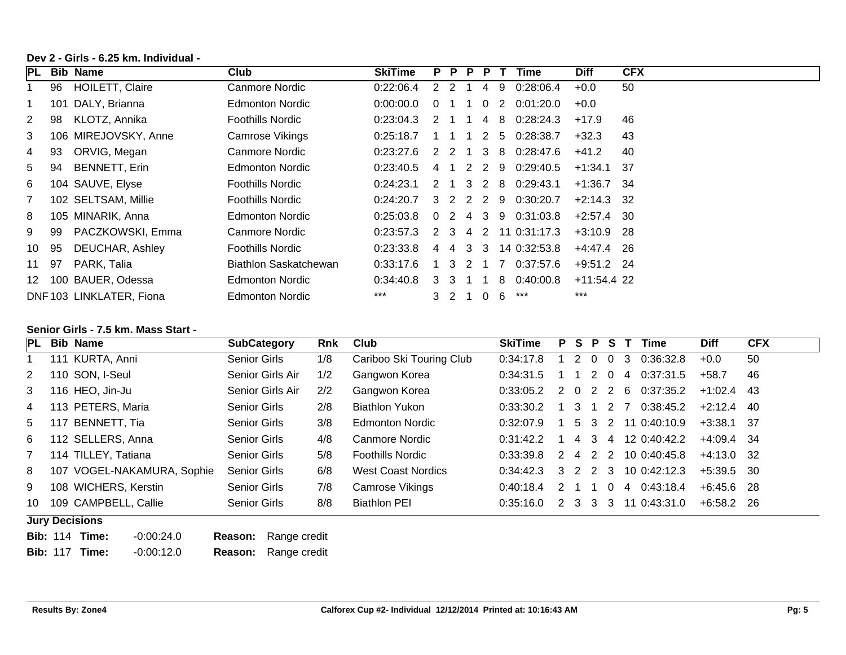## **Dev 2 - Girls - 6.25 km. Individual -**

| <b>IPL</b>     | Bib | <b>Name</b>             | Club                    | <b>SkiTime</b> |               | P P            | P. | P.             |              | Time                                                | <b>Diff</b>   | <b>CFX</b> |
|----------------|-----|-------------------------|-------------------------|----------------|---------------|----------------|----|----------------|--------------|-----------------------------------------------------|---------------|------------|
|                | 96  | <b>HOILETT, Claire</b>  | Canmore Nordic          | 0:22:06.4      |               | -2             |    | 4              | 9            | 0:28:06.4                                           | $+0.0$        | 50         |
|                | 101 | DALY, Brianna           | <b>Edmonton Nordic</b>  | 0:00:00.0      | 0             |                |    | $\Omega$       | 2            | 0:01:20.0                                           | $+0.0$        |            |
| 2              | 98  | KLOTZ, Annika           | <b>Foothills Nordic</b> | 0:23:04.3      | 2             |                |    |                |              | 4 8 0:28:24.3                                       | $+17.9$       | 46         |
| 3              |     | 106 MIREJOVSKY, Anne    | Camrose Vikings         | 0:25:18.7      |               |                |    | 2              | 5            | 0:28:38.7                                           | $+32.3$       | 43         |
| 4              | 93  | ORVIG, Megan            | Canmore Nordic          | 0:23:27.6      | 2             | $\overline{2}$ |    |                |              | 3 8 0:28:47.6                                       | $+41.2$       | 40         |
| 5              | 94  | <b>BENNETT, Erin</b>    | <b>Edmonton Nordic</b>  | 0:23:40.5      | 4             |                | 2  | $\overline{2}$ | -9           | 0:29:40.5                                           | $+1:34.1$     | - 37       |
| 6              |     | 104 SAUVE, Elyse        | <b>Foothills Nordic</b> | 0:24:23.1      | $\mathcal{P}$ |                |    |                |              | 3 2 8 0:29:43.1                                     | $+1:36.7$ 34  |            |
| $\overline{7}$ |     | 102 SELTSAM, Millie     | <b>Foothills Nordic</b> | 0:24:20.7      | 3             |                |    |                | 2 2 2 9      | 0:30:20.7                                           | $+2:14.3$ 32  |            |
| 8              |     | 105 MINARIK, Anna       | Edmonton Nordic         | 0:25:03.8      |               |                |    |                |              | $0 \quad 2 \quad 4 \quad 3 \quad 9 \quad 0:31:03.8$ | $+2:57.4$ 30  |            |
| 9              | 99  | PACZKOWSKI, Emma        | Canmore Nordic          | 0:23:57.3      | $\mathcal{P}$ | -3             | -4 | 2              |              | 11 0:31:17.3                                        | $+3:10.9$ 28  |            |
| 10             | 95  | DEUCHAR, Ashley         | <b>Foothills Nordic</b> | 0:23:33.8      | 4             | 4              | 3  | 3              |              | 14 0:32:53.8                                        | $+4:47.4$ 26  |            |
| 11             | -97 | PARK, Talia             | Biathlon Saskatchewan   | 0:33:17.6      |               | 3              | 2  |                | <sup>7</sup> | 0:37:57.6                                           | $+9:51.2$ 24  |            |
| 12             |     | 100 BAUER, Odessa       | Edmonton Nordic         | 0:34:40.8      | 3             | 3              |    |                |              | 8 0:40:00.8                                         | $+11:54.4$ 22 |            |
|                |     | DNF103 LINKLATER, Fiona | <b>Edmonton Nordic</b>  | $***$          |               | 3 2            |    | $\overline{0}$ | 6            | ***                                                 | $***$         |            |

#### **Senior Girls - 7.5 km. Mass Start -**

| <b>PL</b>      |                       | <b>Bib Name</b>            | <b>SubCategory</b>  | <b>Rnk</b> | Club                     | <b>SkiTime</b> |  |       |                |                | <b>PSPST</b>   | Time                 | <b>Diff</b>  | <b>CFX</b> |
|----------------|-----------------------|----------------------------|---------------------|------------|--------------------------|----------------|--|-------|----------------|----------------|----------------|----------------------|--------------|------------|
|                |                       | 111 KURTA, Anni            | <b>Senior Girls</b> | 1/8        | Cariboo Ski Touring Club | 0:34:17.8      |  | 2     | - 0            | $\overline{0}$ | -3             | 0:36:32.8            | $+0.0$       | 50         |
| 2              |                       | 110 SON, I-Seul            | Senior Girls Air    | 1/2        | Gangwon Korea            | 0:34:31.5      |  |       | $\overline{2}$ | $\overline{0}$ | $\overline{4}$ | 0:37:31.5            | $+58.7$      | 46         |
| 3              |                       | 116 HEO, Jin-Ju            | Senior Girls Air    | 2/2        | Gangwon Korea            | 0:33:05.2      |  |       |                |                | 2 0 2 2 6      | 0:37:35.2            | +1:02.4      | -43        |
| 4              |                       | 113 PETERS, Maria          | Senior Girls        | 2/8        | Biathlon Yukon           | 0:33:30.2      |  | 3 1   |                | 2 7            |                | 0:38:45.2            | $+2:12.4$ 40 |            |
| 5              |                       | 117 BENNETT, Tia           | Senior Girls        | 3/8        | Edmonton Nordic          | 0:32:07.9      |  |       |                |                |                | 5 3 2 11 0:40:10.9   | $+3:38.1$ 37 |            |
| 6              |                       | 112 SELLERS, Anna          | Senior Girls        | 4/8        | Canmore Nordic           | 0:31:42.2      |  |       |                | 4 3 4          |                | 12 0:40:42.2         | $+4:09.4$ 34 |            |
| $\overline{7}$ |                       | 114 TILLEY, Tatiana        | Senior Girls        | 5/8        | <b>Foothills Nordic</b>  | 0:33:39.8      |  |       |                |                |                | 2 4 2 2 10 0:40:45.8 | $+4:13.0$ 32 |            |
| 8              |                       | 107 VOGEL-NAKAMURA, Sophie | Senior Girls        | 6/8        | West Coast Nordics       | 0:34:42.3      |  |       |                |                |                | 3 2 2 3 10 0:42:12.3 | $+5:39.5$ 30 |            |
| 9              |                       | 108 WICHERS, Kerstin       | Senior Girls        | 7/8        | Camrose Vikings          | 0:40:18.4      |  | 2 1 1 |                | $\overline{0}$ |                | 4 0:43:18.4          | $+6:45.6$ 28 |            |
| 10             |                       | 109 CAMPBELL, Callie       | <b>Senior Girls</b> | 8/8        | <b>Biathlon PEI</b>      | 0:35:16.0      |  |       |                |                |                | 2 3 3 3 11 0:43:31.0 | $+6:58.2$ 26 |            |
|                | <b>Jury Decisions</b> |                            |                     |            |                          |                |  |       |                |                |                |                      |              |            |

|  | <b>Bib: 114 Time:</b> | $-0.00:24.0$ | <b>Reason:</b> Range credit |
|--|-----------------------|--------------|-----------------------------|
|  | <b>Bib: 117 Time:</b> | $-0.00:12.0$ | <b>Reason:</b> Range credit |